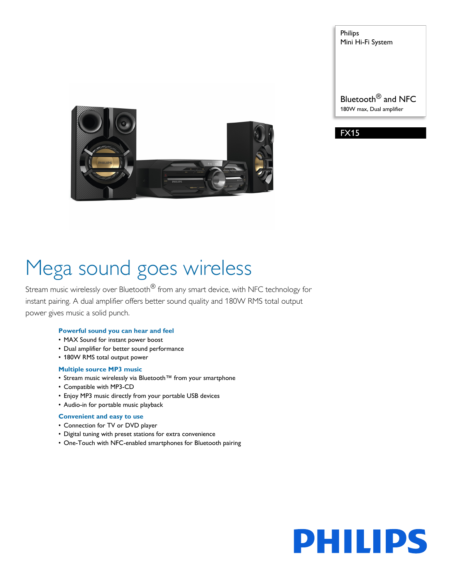

Philips Mini Hi-Fi System

Bluetooth® and NFC 180W max, Dual amplifier



# Mega sound goes wireless

Stream music wirelessly over Bluetooth<sup>®</sup> from any smart device, with NFC technology for instant pairing. A dual amplifier offers better sound quality and 180W RMS total output power gives music a solid punch.

# **Powerful sound you can hear and feel**

- MAX Sound for instant power boost
- Dual amplifier for better sound performance
- 180W RMS total output power

# **Multiple source MP3 music**

- Stream music wirelessly via Bluetooth™ from your smartphone
- Compatible with MP3-CD
- Enjoy MP3 music directly from your portable USB devices
- Audio-in for portable music playback

# **Convenient and easy to use**

- Connection for TV or DVD player
- Digital tuning with preset stations for extra convenience
- One-Touch with NFC-enabled smartphones for Bluetooth pairing